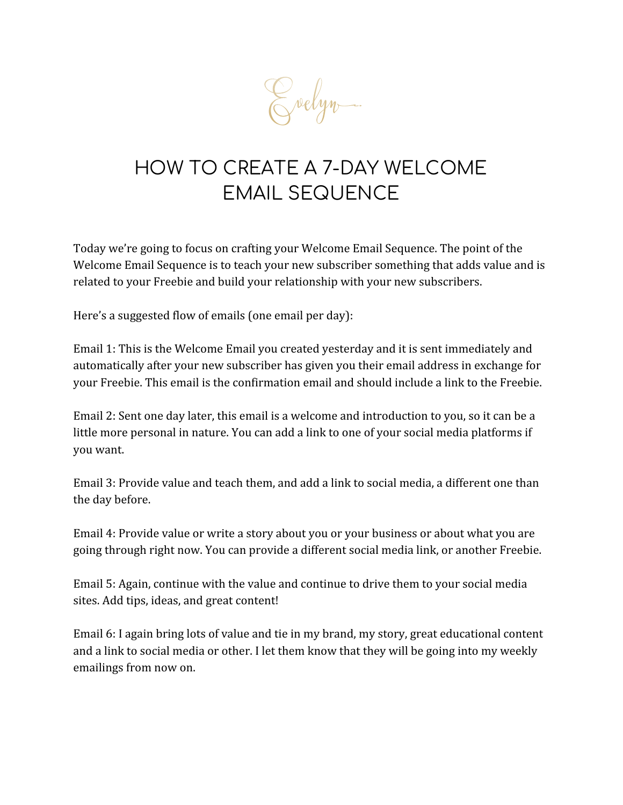Evelyn

# HOW TO CREATE A 7-DAY WELCOME EMAIL SEQUENCE

Today we're going to focus on crafting your Welcome Email Sequence. The point of the Welcome Email Sequence is to teach your new subscriber something that adds value and is related to your Freebie and build your relationship with your new subscribers.

Here's a suggested flow of emails (one email per day):

Email 1: This is the Welcome Email you created yesterday and it is sent immediately and automatically after your new subscriber has given you their email address in exchange for your Freebie. This email is the confirmation email and should include a link to the Freebie.

Email 2: Sent one day later, this email is a welcome and introduction to you, so it can be a little more personal in nature. You can add a link to one of your social media platforms if you want.

Email 3: Provide value and teach them, and add a link to social media, a different one than the day before.

Email 4: Provide value or write a story about you or your business or about what you are going through right now. You can provide a different social media link, or another Freebie.

Email 5: Again, continue with the value and continue to drive them to your social media sites. Add tips, ideas, and great content!

Email 6: I again bring lots of value and tie in my brand, my story, great educational content and a link to social media or other. I let them know that they will be going into my weekly emailings from now on.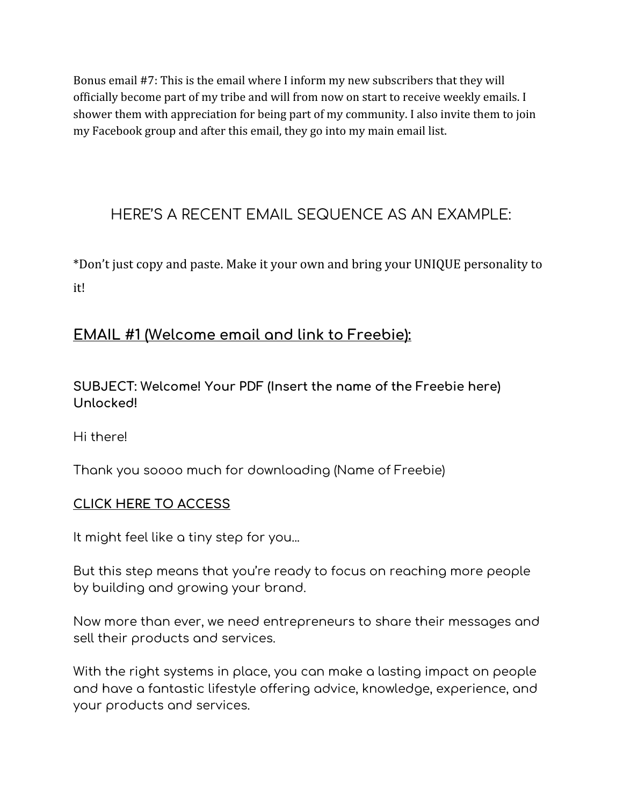Bonus email #7: This is the email where I inform my new subscribers that they will officially become part of my tribe and will from now on start to receive weekly emails. I shower them with appreciation for being part of my community. I also invite them to join my Facebook group and after this email, they go into my main email list.

## HERE'S A RECENT EMAIL SEQUENCE AS AN EXAMPLE:

\*Don't just copy and paste. Make it your own and bring your UNIQUE personality to it!

## **EMAIL #1 (Welcome email and link to Freebie):**

**SUBJECT: Welcome! Your PDF (Insert the name of the Freebie here) Unlocked!**

Hi there!

Thank you soooo much for downloading (Name of Freebie)

#### **CLICK HERE TO ACCESS**

It might feel like a tiny step for you...

But this step means that you're ready to focus on reaching more people by building and growing your brand.

Now more than ever, we need entrepreneurs to share their messages and sell their products and services.

With the right systems in place, you can make a lasting impact on people and have a fantastic lifestyle offering advice, knowledge, experience, and your products and services.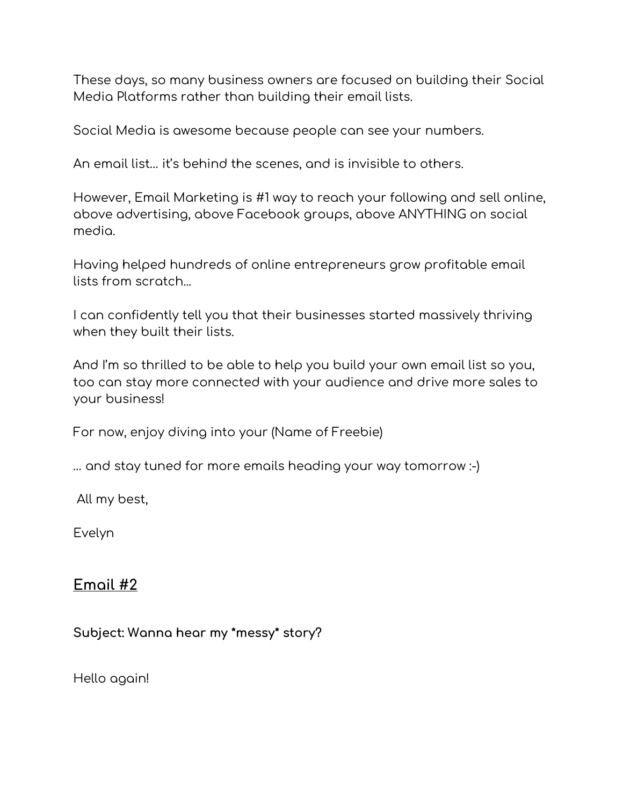These days, so many business owners are focused on building their Social Media Platforms rather than building their email lists.

Social Media is awesome because people can see your numbers.

An email list… it's behind the scenes, and is invisible to others.

However, Email Marketing is #1 way to reach your following and sell online, above advertising, above Facebook groups, above ANYTHING on social media.

Having helped hundreds of online entrepreneurs grow profitable email lists from scratch...

I can confidently tell you that their businesses started massively thriving when they built their lists.

And I'm so thrilled to be able to help you build your own email list so you, too can stay more connected with your audience and drive more sales to your business!

For now, enjoy diving into your (Name of Freebie)

… and stay tuned for more emails heading your way tomorrow :-)

All my best,

Evelyn

### **Email #2**

**Subject: Wanna hear my \*messy\* story?**

Hello again!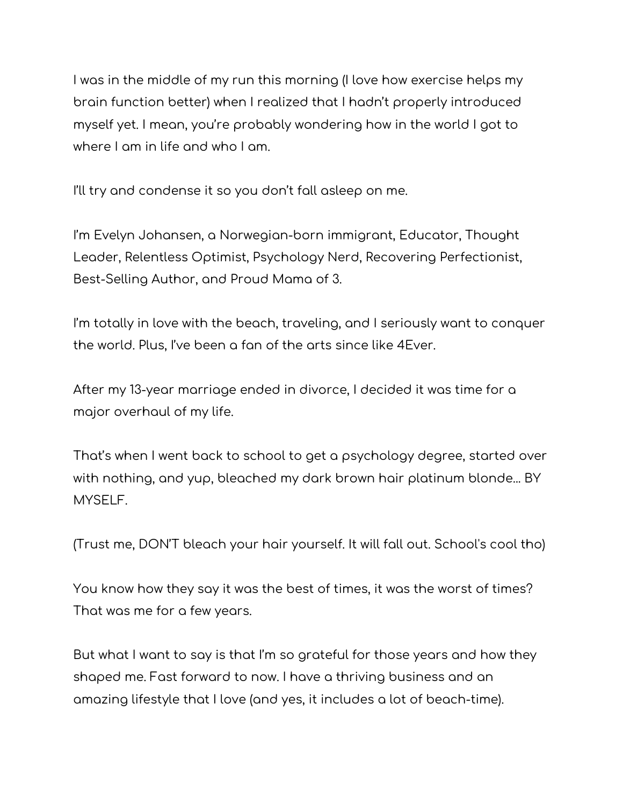I was in the middle of my run this morning (I love how exercise helps my brain function better) when I realized that I hadn't properly introduced myself yet. I mean, you're probably wondering how in the world I got to where I am in life and who I am.

I'll try and condense it so you don't fall asleep on me.

I'm Evelyn Johansen, a Norwegian-born immigrant, Educator, Thought Leader, Relentless Optimist, Psychology Nerd, Recovering Perfectionist, Best-Selling Author, and Proud Mama of 3.

I'm totally in love with the beach, traveling, and I seriously want to conquer the world. Plus, I've been a fan of the arts since like 4Ever.

After my 13-year marriage ended in divorce, I decided it was time for a major overhaul of my life.

That's when I went back to school to get a psychology degree, started over with nothing, and yup, bleached my dark brown hair platinum blonde... BY MYSELF.

(Trust me, DON'T bleach your hair yourself. It will fall out. School's cool tho)

You know how they say it was the best of times, it was the worst of times? That was me for a few years.

But what I want to say is that I'm so grateful for those years and how they shaped me. Fast forward to now. I have a thriving business and an amazing lifestyle that I love (and yes, it includes a lot of beach-time).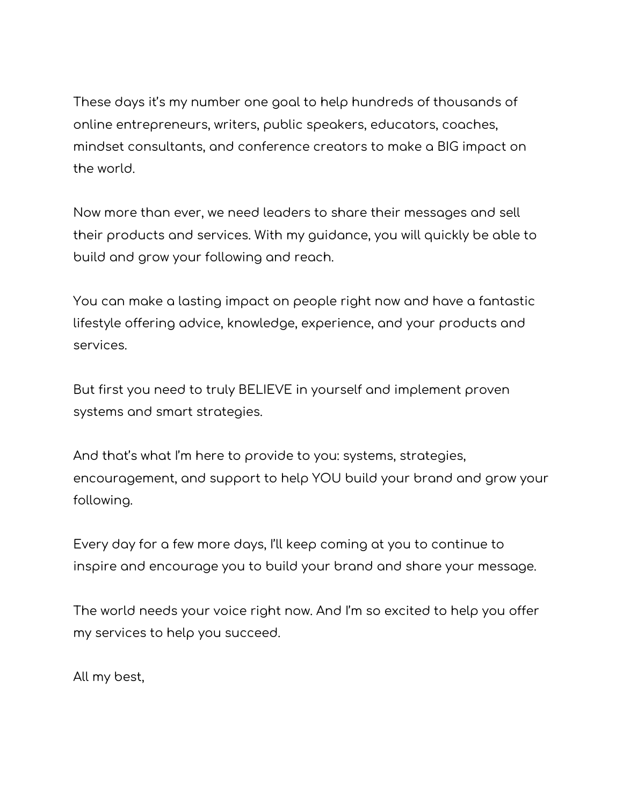These days it's my number one goal to help hundreds of thousands of online entrepreneurs, writers, public speakers, educators, coaches, mindset consultants, and conference creators to make a BIG impact on the world.

Now more than ever, we need leaders to share their messages and sell their products and services. With my guidance, you will quickly be able to build and grow your following and reach.

You can make a lasting impact on people right now and have a fantastic lifestyle offering advice, knowledge, experience, and your products and services.

But first you need to truly BELIEVE in yourself and implement proven systems and smart strategies.

And that's what I'm here to provide to you: systems, strategies, encouragement, and support to help YOU build your brand and grow your following.

Every day for a few more days, I'll keep coming at you to continue to inspire and encourage you to build your brand and share your message.

The world needs your voice right now. And I'm so excited to help you offer my services to help you succeed.

All my best,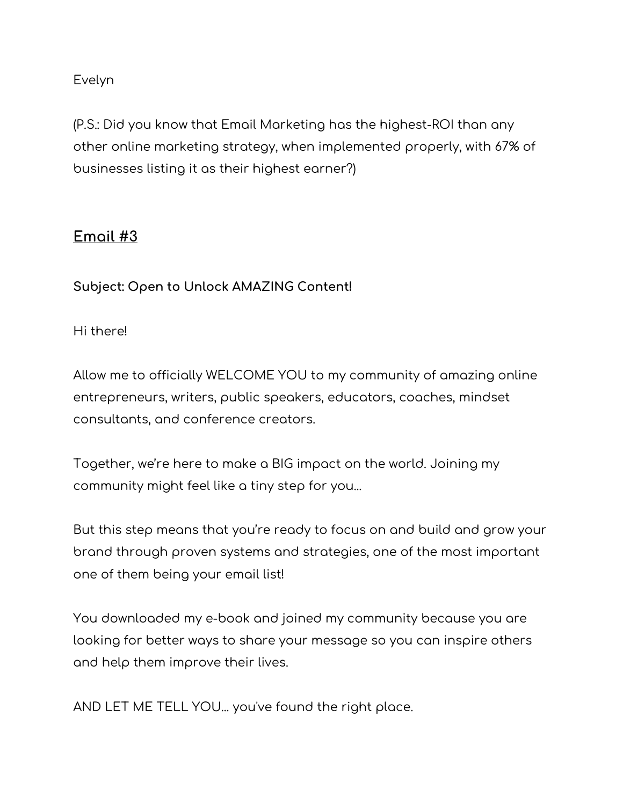Evelyn

(P.S.: Did you know that Email Marketing has the highest-ROI than any other online marketing strategy, when implemented properly, with 67% of businesses listing it as their highest earner?)

### **Email #3**

**Subject: Open to Unlock AMAZING Content!**

Hi there!

Allow me to officially WELCOME YOU to my community of amazing online entrepreneurs, writers, public speakers, educators, coaches, mindset consultants, and conference creators.

Together, we're here to make a BIG impact on the world. Joining my community might feel like a tiny step for you...

But this step means that you're ready to focus on and build and grow your brand through proven systems and strategies, one of the most important one of them being your email list!

You downloaded my e-book and joined my community because you are looking for better ways to share your message so you can inspire others and help them improve their lives.

AND LET ME TELL YOU... you've found the right place.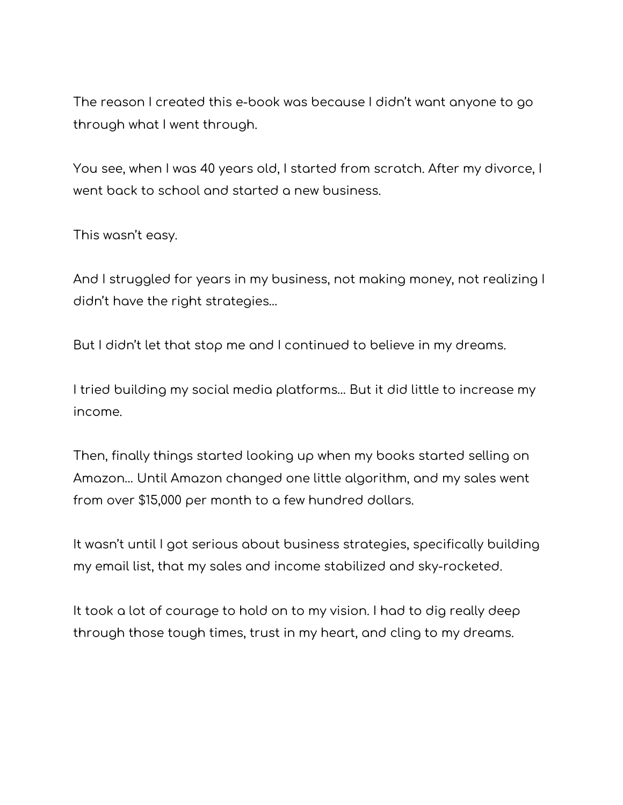The reason I created this e-book was because I didn't want anyone to go through what I went through.

You see, when I was 40 years old, I started from scratch. After my divorce, I went back to school and started a new business.

This wasn't easy.

And I struggled for years in my business, not making money, not realizing I didn't have the right strategies…

But I didn't let that stop me and I continued to believe in my dreams.

I tried building my social media platforms… But it did little to increase my income.

Then, finally things started looking up when my books started selling on Amazon… Until Amazon changed one little algorithm, and my sales went from over \$15,000 per month to a few hundred dollars.

It wasn't until I got serious about business strategies, specifically building my email list, that my sales and income stabilized and sky-rocketed.

It took a lot of courage to hold on to my vision. I had to dig really deep through those tough times, trust in my heart, and cling to my dreams.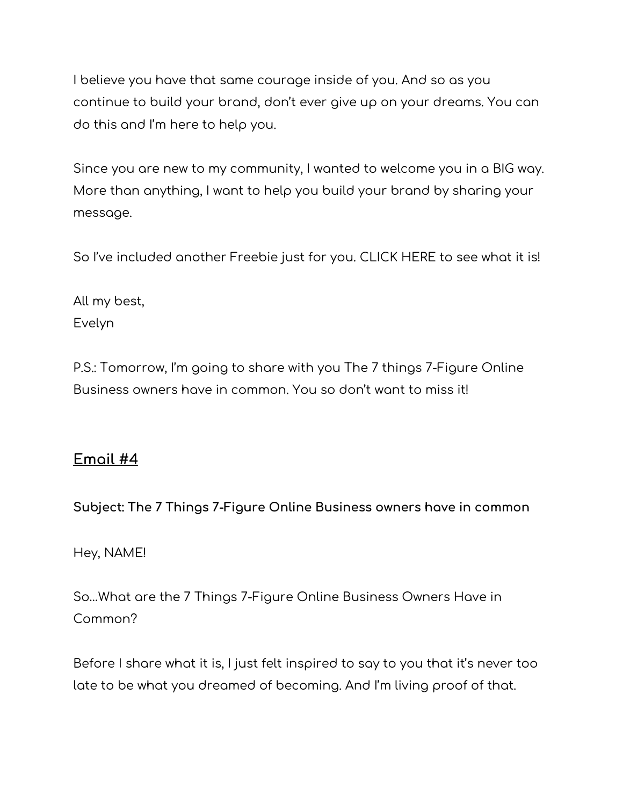I believe you have that same courage inside of you. And so as you continue to build your brand, don't ever give up on your dreams. You can do this and I'm here to help you.

Since you are new to my community, I wanted to welcome you in a BIG way. More than anything, I want to help you build your brand by sharing your message.

So I've included another Freebie just for you. CLICK HERE to see what it is!

All my best, Evelyn

P.S.: Tomorrow, I'm going to share with you The 7 things 7-Figure Online Business owners have in common. You so don't want to miss it!

### **Email #4**

**Subject: The 7 Things 7-Figure Online Business owners have in common**

Hey, NAME!

So…What are the 7 Things 7-Figure Online Business Owners Have in Common?

Before I share what it is, I just felt inspired to say to you that it's never too late to be what you dreamed of becoming. And I'm living proof of that.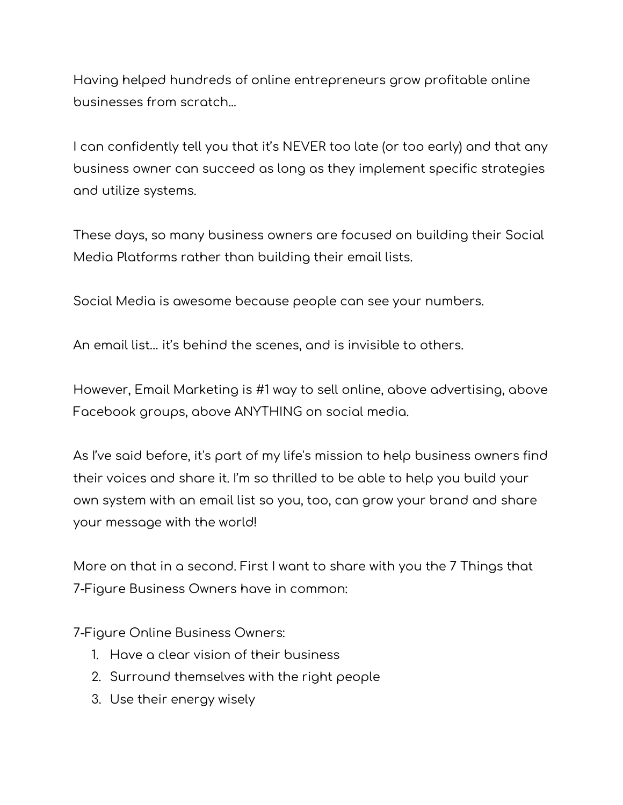Having helped hundreds of online entrepreneurs grow profitable online businesses from scratch...

I can confidently tell you that it's NEVER too late (or too early) and that any business owner can succeed as long as they implement specific strategies and utilize systems.

These days, so many business owners are focused on building their Social Media Platforms rather than building their email lists.

Social Media is awesome because people can see your numbers.

An email list… it's behind the scenes, and is invisible to others.

However, Email Marketing is #1 way to sell online, above advertising, above Facebook groups, above ANYTHING on social media.

As I've said before, it's part of my life's mission to help business owners find their voices and share it. I'm so thrilled to be able to help you build your own system with an email list so you, too, can grow your brand and share your message with the world!

More on that in a second. First I want to share with you the 7 Things that 7-Figure Business Owners have in common:

7-Figure Online Business Owners:

- 1. Have a clear vision of their business
- 2. Surround themselves with the right people
- 3. Use their energy wisely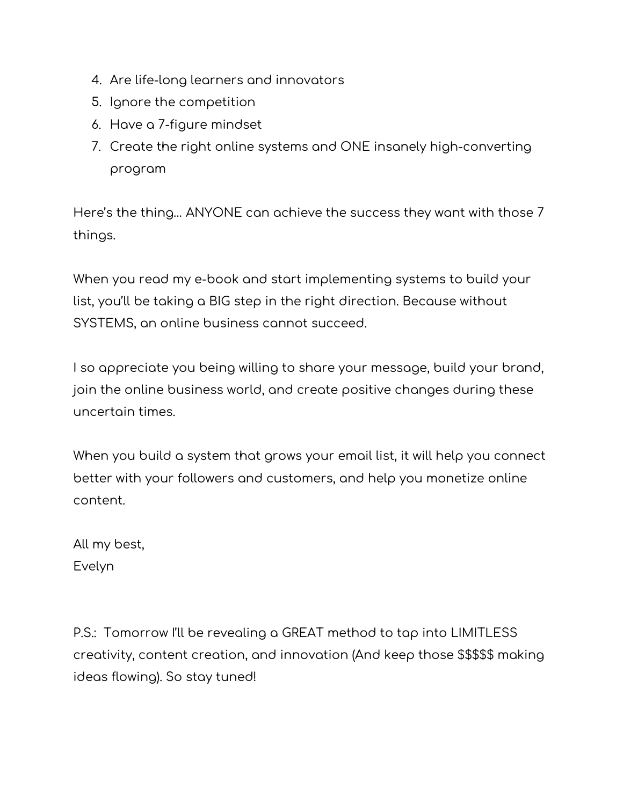- 4. Are life-long learners and innovators
- 5. Ignore the competition
- 6. Have a 7-figure mindset
- 7. Create the right online systems and ONE insanely high-converting program

Here's the thing… ANYONE can achieve the success they want with those 7 things.

When you read my e-book and start implementing systems to build your list, you'll be taking a BIG step in the right direction. Because without SYSTEMS, an online business cannot succeed.

I so appreciate you being willing to share your message, build your brand, join the online business world, and create positive changes during these uncertain times.

When you build a system that grows your email list, it will help you connect better with your followers and customers, and help you monetize online content.

All my best, Evelyn

P.S.: Tomorrow I'll be revealing a GREAT method to tap into LIMITLESS creativity, content creation, and innovation (And keep those \$\$\$\$\$ making ideas flowing). So stay tuned!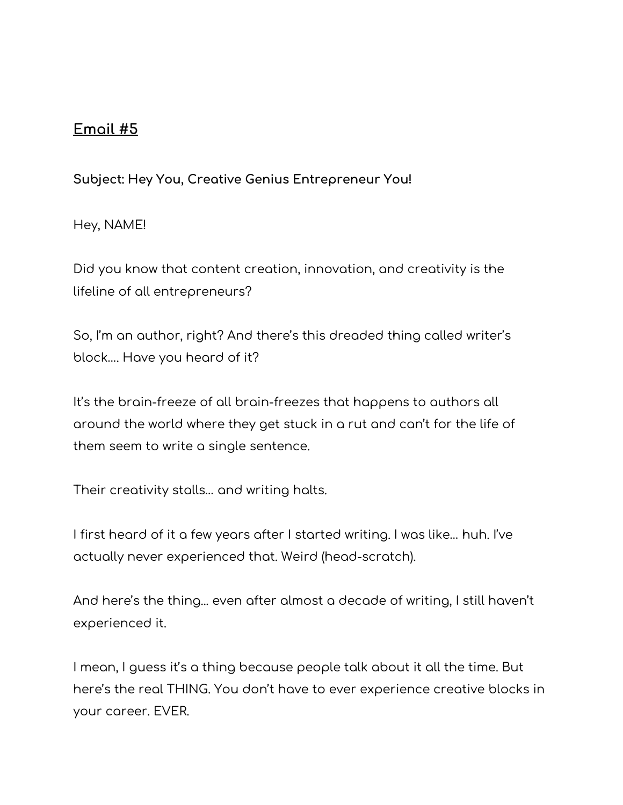## **Email #5**

**Subject: Hey You, Creative Genius Entrepreneur You!**

Hey, NAME!

Did you know that content creation, innovation, and creativity is the lifeline of all entrepreneurs?

So, I'm an author, right? And there's this dreaded thing called writer's block…. Have you heard of it?

It's the brain-freeze of all brain-freezes that happens to authors all around the world where they get stuck in a rut and can't for the life of them seem to write a single sentence.

Their creativity stalls… and writing halts.

I first heard of it a few years after I started writing. I was like… huh. I've actually never experienced that. Weird (head-scratch).

And here's the thing... even after almost a decade of writing, I still haven't experienced it.

I mean, I guess it's a thing because people talk about it all the time. But here's the real THING. You don't have to ever experience creative blocks in your career. EVER.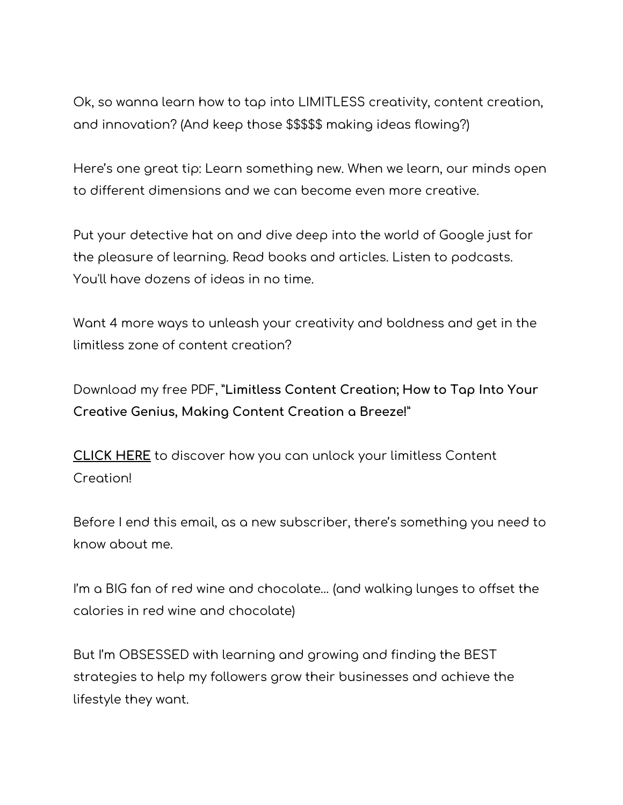Ok, so wanna learn how to tap into LIMITLESS creativity, content creation, and innovation? (And keep those \$\$\$\$\$ making ideas flowing?)

Here's one great tip: Learn something new. When we learn, our minds open to different dimensions and we can become even more creative.

Put your detective hat on and dive deep into the world of Google just for the pleasure of learning. Read books and articles. Listen to podcasts. You'll have dozens of ideas in no time.

Want 4 more ways to unleash your creativity and boldness and get in the limitless zone of content creation?

Download my free PDF, "**Limitless Content Creation; How to Tap Into Your Creative Genius, Making Content Creation a Breeze!**"

**CLICK HERE** to discover how you can unlock your limitless Content Creation!

Before I end this email, as a new subscriber, there's something you need to know about me.

I'm a BIG fan of red wine and chocolate… (and walking lunges to offset the calories in red wine and chocolate)

But I'm OBSESSED with learning and growing and finding the BEST strategies to help my followers grow their businesses and achieve the lifestyle they want.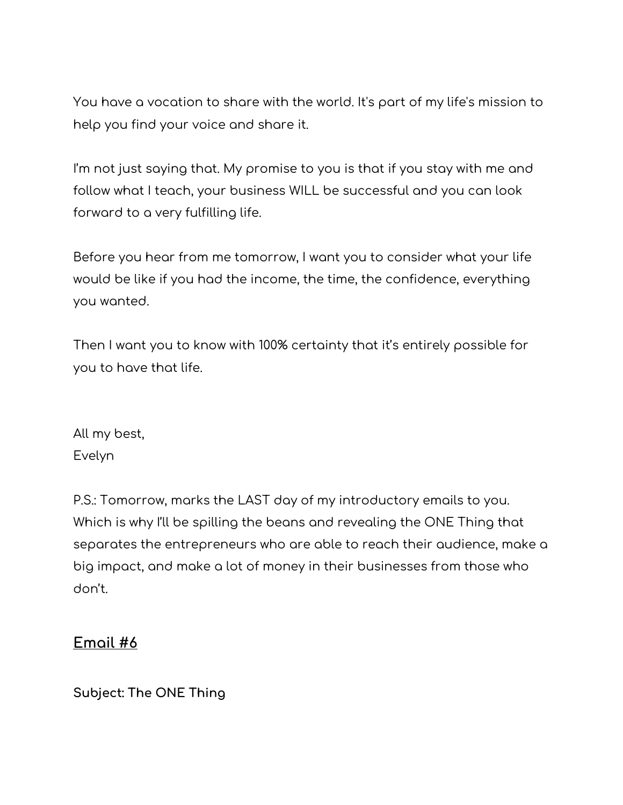You have a vocation to share with the world. It's part of my life's mission to help you find your voice and share it.

I'm not just saying that. My promise to you is that if you stay with me and follow what I teach, your business WILL be successful and you can look forward to a very fulfilling life.

Before you hear from me tomorrow, I want you to consider what your life would be like if you had the income, the time, the confidence, everything you wanted.

Then I want you to know with 100% certainty that it's entirely possible for you to have that life.

All my best, Evelyn

P.S.: Tomorrow, marks the LAST day of my introductory emails to you. Which is why I'll be spilling the beans and revealing the ONE Thing that separates the entrepreneurs who are able to reach their audience, make a big impact, and make a lot of money in their businesses from those who don't.

### **Email #6**

**Subject: The ONE Thing**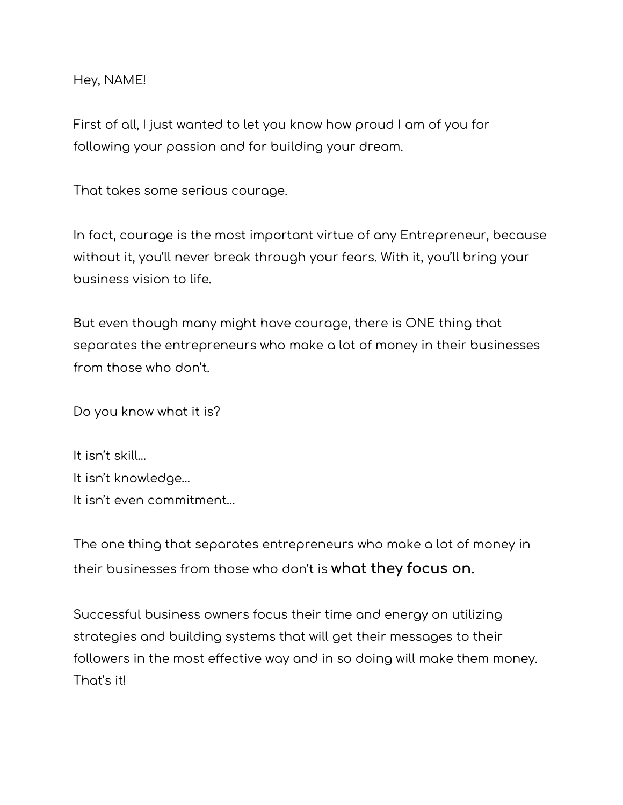Hey, NAME!

First of all, I just wanted to let you know how proud I am of you for following your passion and for building your dream.

That takes some serious courage.

In fact, courage is the most important virtue of any Entrepreneur, because without it, you'll never break through your fears. With it, you'll bring your business vision to life.

But even though many might have courage, there is ONE thing that separates the entrepreneurs who make a lot of money in their businesses from those who don't.

Do you know what it is?

It isn't skill… It isn't knowledge… It isn't even commitment…

The one thing that separates entrepreneurs who make a lot of money in their businesses from those who don't is **what they focus on.**

Successful business owners focus their time and energy on utilizing strategies and building systems that will get their messages to their followers in the most effective way and in so doing will make them money. That's it!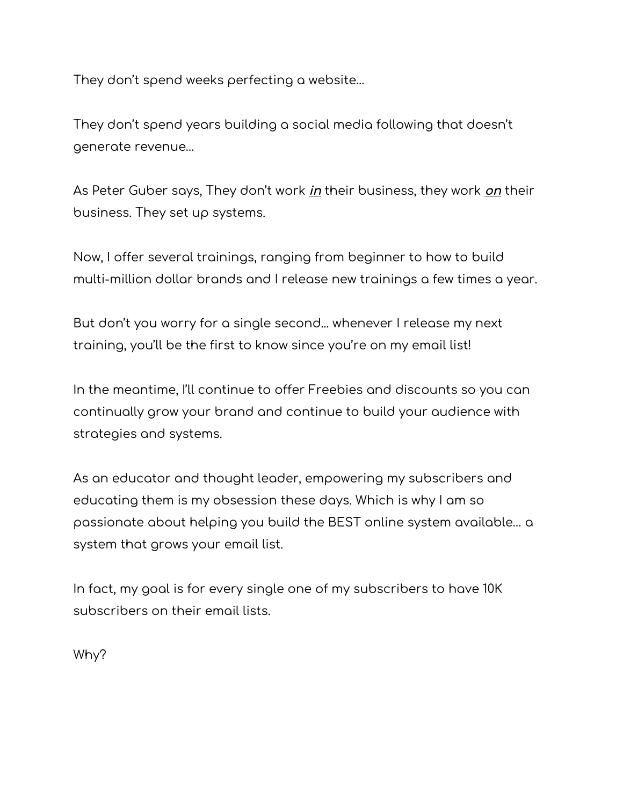They don't spend weeks perfecting a website…

They don't spend years building a social media following that doesn't generate revenue…

As Peter Guber says, They don't work **in** their business, they work **on** their business. They set up systems.

Now, I offer several trainings, ranging from beginner to how to build multi-million dollar brands and I release new trainings a few times a year.

But don't you worry for a single second... whenever I release my next training, you'll be the first to know since you're on my email list!

In the meantime, I'll continue to offer Freebies and discounts so you can continually grow your brand and continue to build your audience with strategies and systems.

As an educator and thought leader, empowering my subscribers and educating them is my obsession these days. Which is why I am so passionate about helping you build the BEST online system available… a system that grows your email list.

In fact, my goal is for every single one of my subscribers to have 10K subscribers on their email lists.

Why?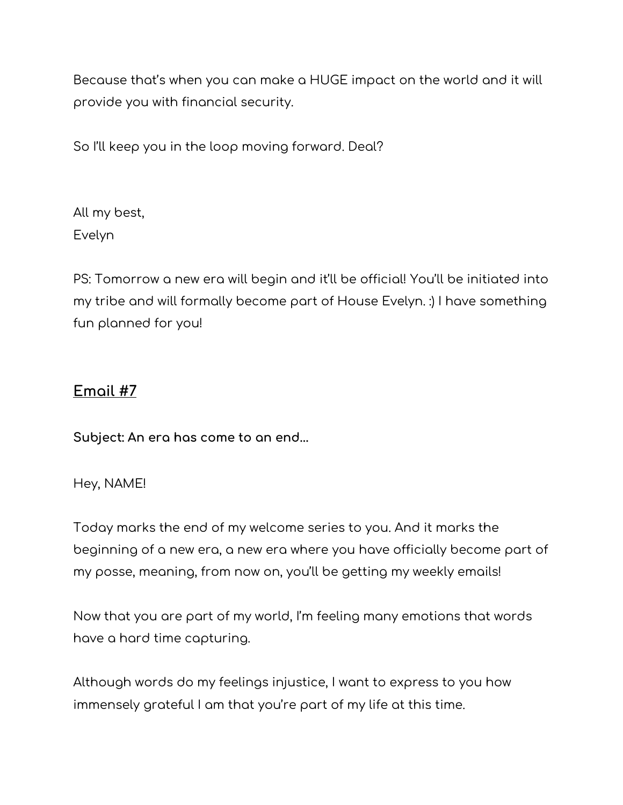Because that's when you can make a HUGE impact on the world and it will provide you with financial security.

So I'll keep you in the loop moving forward. Deal?

All my best, Evelyn

PS: Tomorrow a new era will begin and it'll be official! You'll be initiated into my tribe and will formally become part of House Evelyn. :) I have something fun planned for you!

### **Email #7**

**Subject: An era has come to an end...**

#### Hey, NAME!

Today marks the end of my welcome series to you. And it marks the beginning of a new era, a new era where you have officially become part of my posse, meaning, from now on, you'll be getting my weekly emails!

Now that you are part of my world, I'm feeling many emotions that words have a hard time capturing.

Although words do my feelings injustice, I want to express to you how immensely grateful I am that you're part of my life at this time.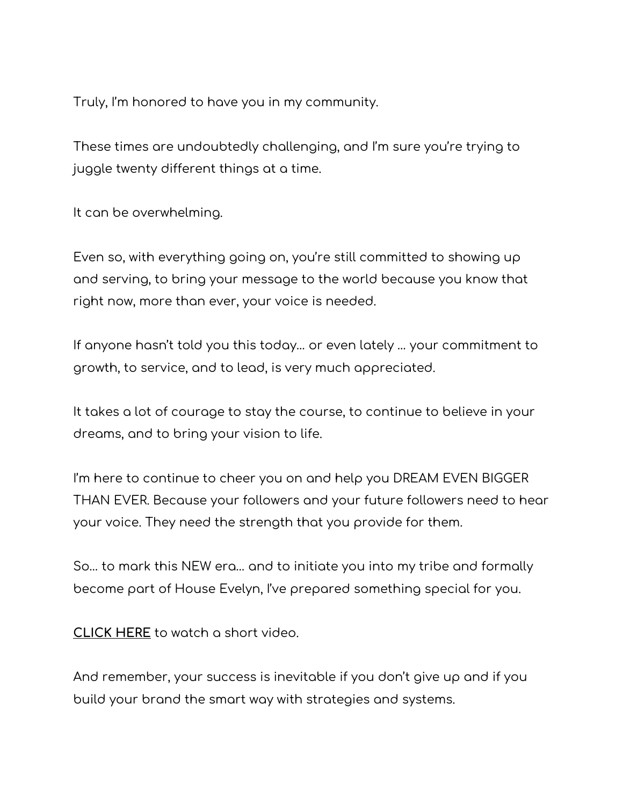Truly, I'm honored to have you in my community.

These times are undoubtedly challenging, and I'm sure you're trying to juggle twenty different things at a time.

It can be overwhelming.

Even so, with everything going on, you're still committed to showing up and serving, to bring your message to the world because you know that right now, more than ever, your voice is needed.

If anyone hasn't told you this today… or even lately … your commitment to growth, to service, and to lead, is very much appreciated.

It takes a lot of courage to stay the course, to continue to believe in your dreams, and to bring your vision to life.

I'm here to continue to cheer you on and help you DREAM EVEN BIGGER THAN EVER. Because your followers and your future followers need to hear your voice. They need the strength that you provide for them.

So… to mark this NEW era… and to initiate you into my tribe and formally become part of House Evelyn, I've prepared something special for you.

**CLICK HERE** to watch a short video.

And remember, your success is inevitable if you don't give up and if you build your brand the smart way with strategies and systems.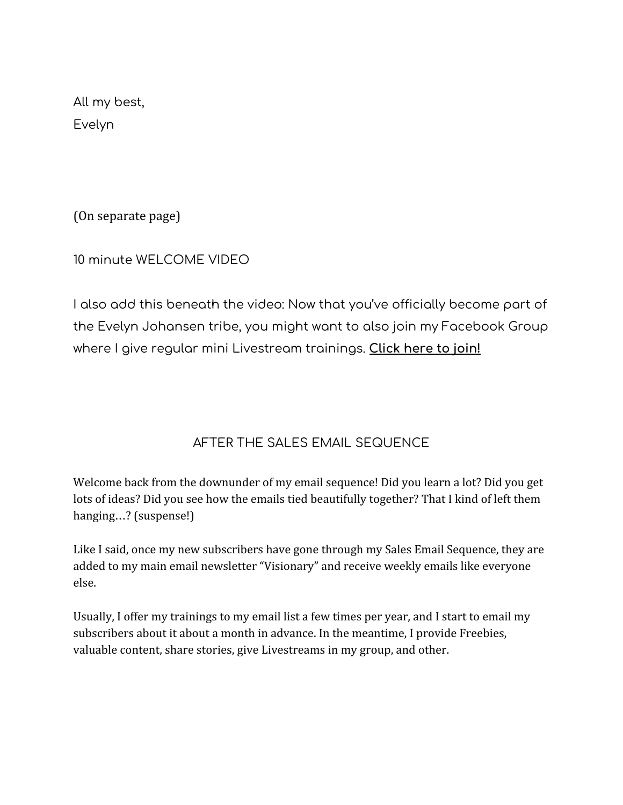All my best, Evelyn

(On separate page)

10 minute WELCOME VIDEO

I also add this beneath the video: Now that you've officially become part of the Evelyn Johansen tribe, you might want to also join my Facebook Group where I give regular mini Livestream trainings. **Click here to join!**

### AFTER THE SALES EMAIL SEQUENCE

Welcome back from the downunder of my email sequence! Did you learn a lot? Did you get lots of ideas? Did you see how the emails tied beautifully together? That I kind of left them hanging…? (suspense!)

Like I said, once my new subscribers have gone through my Sales Email Sequence, they are added to my main email newsletter "Visionary" and receive weekly emails like everyone else.

Usually, I offer my trainings to my email list a few times per year, and I start to email my subscribers about it about a month in advance. In the meantime, I provide Freebies, valuable content, share stories, give Livestreams in my group, and other.